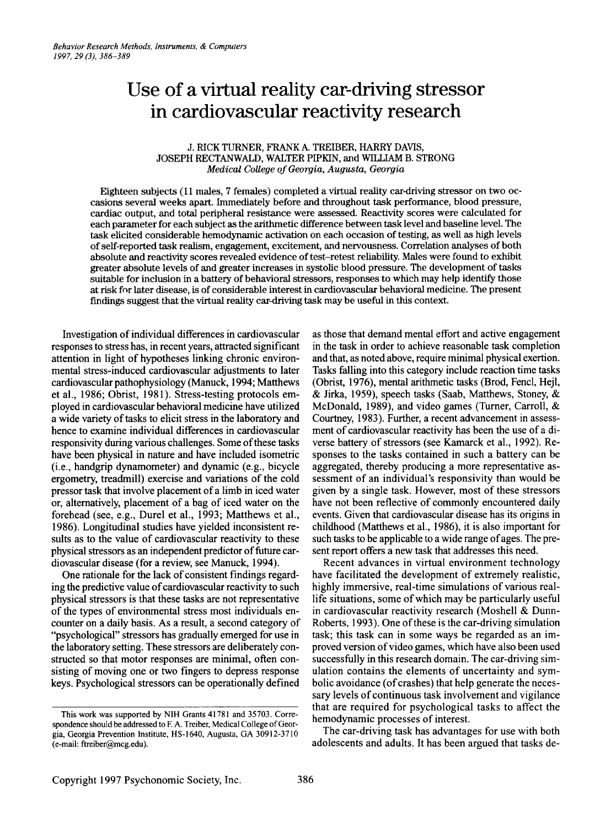# **Use of a virtual reality car-driving stressor in cardiovascular reactivity research**

# J. RICK TURNER, FRANK A. TREIBER, HARRY DAVIS, JOSEPH RECTANWALD, WALTER PIPKIN, and WILLIAM B.STRONG *Medical CoUege ofGeorgia, Augusta, Georgia*

Eighteen subjects (11 males, 7 females) completed a virtual reality car-driving stressor on two occasions several weeks apart. Immediately before and throughout task performance, blood pressure, cardiac output, and total peripheral resistance were assessed. Reactivity scores were calculated for each parameter for each subject as the arithmetic difference between task level and baseline level. The task elicited considerable hemodynamic activation on each occasion of testing, as well as high levels of self-reported task realism, engagement, excitement, and nervousness. Correlation analyses of both absolute and reactivity scores revealed evidence of test-retest reliability. Males were found to exhibit greater absolute levels of and greater increases in systolic blood pressure. The development of tasks suitable for inclusion in a battery of behavioral stressors, responses to which may help identify those at risk for later disease, is of considerable interest in cardiovascular behavioral medicine. The present findings suggest that the virtual reality car-driving task may be useful in this context.

Investigation of individual differences in cardiovascular responses to stress has, in recent years, attracted significant attention in light of hypotheses linking chronic environmental stress-induced cardiovascular adjustments to later cardiovascular pathophysiology (Manuck, 1994; Matthews et al., 1986; Obrist, 1981). Stress-testing protocols employed in cardiovascular behavioral medicine have utilized a wide variety of tasks to elicit stress in the laboratory and hence to examine individual differences in cardiovascular responsivity during various challenges. Some of these tasks have been physical in nature and have included isometric (i.e., handgrip dynamometer) and dynamic (e.g., bicycle ergometry, treadmill) exercise and variations of the cold pressor task that involve placement of a limb in iced water or, alternatively, placement of a bag of iced water on the forehead (see, e.g., Durel et al., 1993; Matthews et al., 1986). Longitudinal studies have yielded inconsistent results as to the value of cardiovascular reactivity to these physical stressors as an independent predictor of future cardiovascular disease (for a review, see Manuck, 1994).

One rationale for the lack of consistent findings regarding the predictive value of cardiovascular reactivity to such physical stressors is that these tasks are not representative of the types of environmental stress most individuals encounter on a daily basis. As a result, a second category of "psychological" stressors has gradually emerged for use in the laboratory setting. These stressors are deliberately constructed so that motor responses are minimal, often consisting of moving one or two fingers to depress response keys. Psychological stressors can be operationally defined

as those that demand mental effort and active engagement in the task in order to achieve reasonable task completion and that, as noted above, require minimal physical exertion. Tasks falling into this category include reaction time tasks (Obrist, 1976), mental arithmetic tasks (Brod, Fencl, Hejl, & Jirka, 1959), speech tasks (Saab, Matthews, Stoney, & McDonald, 1989), and video games (Turner, Carroll, & Courtney, 1983). Further, a recent advancement in assessment of cardiovascular reactivity has been the use of a diverse battery of stressors (see Kamarck et al., 1992). Responses to the tasks contained in such a battery can be aggregated, thereby producing a more representative assessment of an individual's responsivity than would be given by a single task. However, most of these stressors have not been reflective of commonly encountered daily events. Given that cardiovascular disease has its origins in childhood (Matthews et al., 1986), it is also important for such tasks to be applicable to a wide range of ages. The present report offers a new task that addresses this need.

Recent advances in virtual environment technology have facilitated the development of extremely realistic, highly immersive, real-time simulations of various reallife situations, some of which may be particularly useful in cardiovascular reactivity research (Moshell & Dunn-Roberts, 1993). One of these is the car-driving simulation task; this task can in some ways be regarded as an improved version of video games, which have also been used successfully in this research domain. The car-driving simulation contains the elements of uncertainty and symbolic avoidance (of crashes) that help generate the necessary levels of continuous task involvement and vigilance that are required for psychological tasks to affect the hemodynamic processes of interest.

The car-driving task has advantages for use with both adolescents and adults. It has been argued that tasks de-

This work was supported by NIH Grants 41781 and 35703. Correspondence should be addressed to F. A. Treiber, Medical College of Georgia, Georgia Prevention Institute, HS-I640, Augusta, GA 30912-3710 (e-mail: ftreiber@mcg.edu).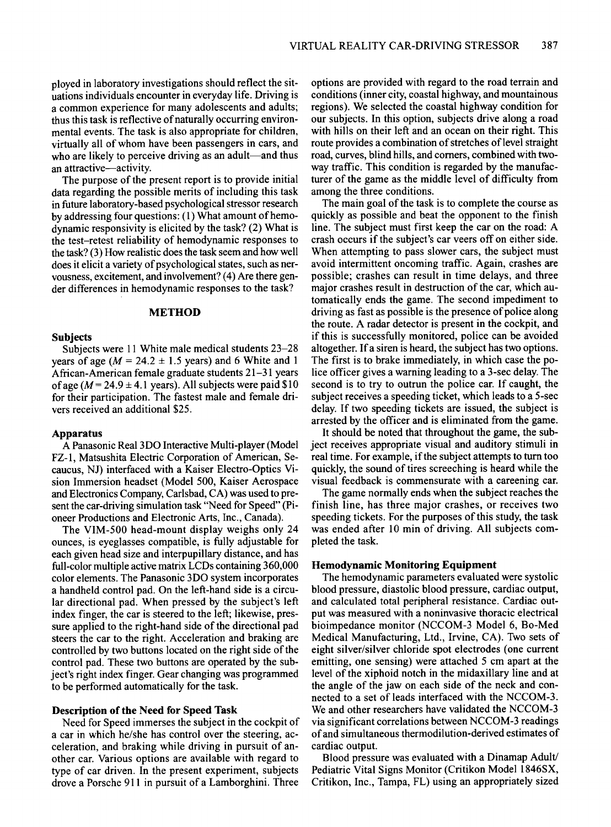ployed in laboratory investigations should reflect the situations individuals encounter in everyday life. Driving is a common experience for many adolescents and adults; thus this task is reflective of naturally occurring environmental events. The task is also appropriate for children, virtually all of whom have been passengers in cars, and who are likely to perceive driving as an adult—and thus an attractive-activity.

The purpose of the present report is to provide initial data regarding the possible merits of including this task in future laboratory-based psychological stressor research by addressing four questions:  $(1)$  What amount of hemodynamic responsivity is elicited by the task? (2) What is the test-retest reliability of hemodynamic responses to the task? (3) How realistic does the task seem and how well does it elicit a variety of psychological states, such as nervousness, excitement, and involvement?(4) Are there gender differences in hemodynamic responses to the task?

# METHOD

# Subjects

Subjects were 11 White male medical students 23-28 years of age ( $M = 24.2 \pm 1.5$  years) and 6 White and 1 African-American female graduate students 21-31 years of age ( $M = 24.9 \pm 4.1$  years). All subjects were paid \$10 for their participation. The fastest male and female drivers received an additional \$25.

#### Apparatus

A Panasonic Real3DO Interactive Multi-player (Model FZ-l, Matsushita Electric Corporation of American, Secaucus, NJ) interfaced with a Kaiser Electro-Optics Vision Immersion headset (Model 500, Kaiser Aerospace and Electronics Company, Carlsbad, CA) was used to present the car-driving simulation task "Need for Speed" (Pioneer Productions and Electronic Arts, Inc., Canada).

The VIM-500 head-mount display weighs only 24 ounces, is eyeglasses compatible, is fully adjustable for each given head size and interpupillary distance, and has full-color multiple active matrix LCDs containing 360,000 color elements. The Panasonic 3DO system incorporates a handheld control pad. On the left-hand side is a circular directional pad. When pressed by the subject's left index finger, the car is steered to the left; likewise, pressure applied to the right-hand side of the directional pad steers the car to the right. Acceleration and braking are controlled by two buttons located on the right side of the control pad. These two buttons are operated by the subject's right index finger. Gear changing was programmed to be performed automatically for the task.

## Description of the Need for Speed Task

Need for Speed immerses the subject in the cockpit of a car in which he/she has control over the steering, acceleration, and braking while driving in pursuit of another car. Various options are available with regard to type of car driven. In the present experiment, subjects drove a Porsche 911 in pursuit of a Lamborghini. Three

options are provided with regard to the road terrain and conditions (inner city, coastal highway, and mountainous regions). We selected the coastal highway condition for our subjects. In this option, subjects drive along a road with hills on their left and an ocean on their right. This route provides a combination of stretches of level straight road, curves, blind hills, and corners, combined with twoway traffic. This condition is regarded by the manufacturer of the game as the middle level of difficulty from among the three conditions.

The main goal of the task is to complete the course as quickly as possible and beat the opponent to the finish line. The subject must first keep the car on the road: A crash occurs if the subject's car veers off on either side. When attempting to pass slower cars, the subject must avoid intermittent oncoming traffic. Again, crashes are possible; crashes can result in time delays, and three major crashes result in destruction of the car, which automatically ends the game. The second impediment to driving as fast as possible is the presence of police along the route. A radar detector is present in the cockpit, and if this is successfully monitored, police can be avoided altogether. If a siren is heard, the subject has two options. The first is to brake immediately, in which case the police officer gives a warning leading to a 3-sec delay. The second is to try to outrun the police car. If caught, the subject receives a speeding ticket, which leads to a 5-sec delay. If two speeding tickets are issued, the subject is arrested by the officer and is eliminated from the game.

It should be noted that throughout the game, the subject receives appropriate visual and auditory stimuli in real time. For example, if the subject attempts to turn too quickly, the sound of tires screeching is heard while the visual feedback is commensurate with a careening car.

The game normally ends when the subject reaches the finish line, has three major crashes, or receives two speeding tickets. For the purposes of this study, the task was ended after 10 min of driving. All subjects completed the task.

# Hemodynamic Monitoring Equipment

The hemodynamic parameters evaluated were systolic blood pressure, diastolic blood pressure, cardiac output, and calculated total peripheral resistance. Cardiac output was measured with a noninvasive thoracic electrical bioimpedance monitor (NCCOM-3 Model 6, Bo-Med Medical Manufacturing, Ltd., Irvine, CA). Two sets of eight silver/silver chloride spot electrodes (one current emitting, one sensing) were attached 5 em apart at the level of the xiphoid notch in the midaxillary line and at the angle of the jaw on each side of the neck and connected to a set of leads interfaced with the NCCOM-3. We and other researchers have validated the NCCOM-3 via significant correlations between NCCOM-3 readings ofand simultaneous thermodilution-derived estimates of cardiac output.

Blood pressure was evaluated with a Dinamap Adult/ Pediatric Vital Signs Monitor (Critikon Model 1846SX, Critikon, Inc., Tampa, FL) using an appropriately sized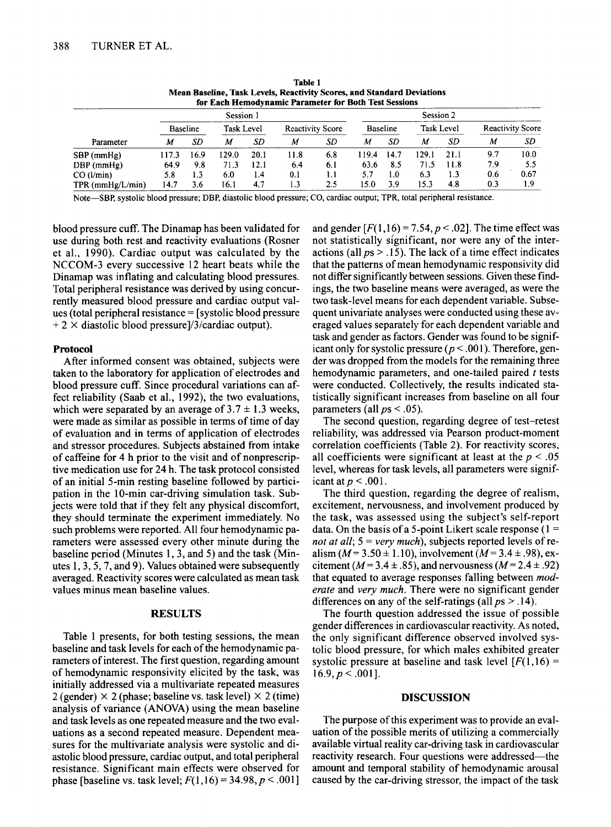| for Each Hemodynamic Parameter for Both Test Sessions |                 |      |            |      |                         |     |                 |      |            |      |                         |      |
|-------------------------------------------------------|-----------------|------|------------|------|-------------------------|-----|-----------------|------|------------|------|-------------------------|------|
|                                                       | Session 1       |      |            |      |                         |     | Session 2       |      |            |      |                         |      |
|                                                       | <b>Baseline</b> |      | Task Level |      | <b>Reactivity Score</b> |     | <b>Baseline</b> |      | Task Level |      | <b>Reactivity Score</b> |      |
| Parameter                                             | М               | SD   | М          | SD.  | M                       | SD. | М               | SD   | M          | SD   | м                       | SD   |
| $SBP$ (mmHg)                                          | 117.3           | 16.9 | 129.0      | 20.1 | l 1.8                   | 6.8 | 119.4           | 14.7 | 129.1      | 21.1 | 9.7                     | 10.0 |
| $DBP$ (mmHg)                                          | 64.9            | 9.8  | 71.3       | 12.1 | 6.4                     | 6.1 | 63.6            | 8.5  | 71.5       | 11.8 | 7.9                     | 5.5  |
| CO (l/min)                                            | 5.8             | 1.3  | 6.0        | 1.4  | 0.1                     | 1.1 | 5.7             | l.O  | 6.3        | 1.3  | 0.6                     | 0.67 |
| $TPR$ (mmHg/L/min)                                    | 14.7            | 3.6  | 16.1       | 4.7  | 1.3                     | 2.5 | 15.0            | 3.9  | 15.3       | 4.8  | 0.3                     | 1.9  |

Table 1 Mean Baseline, Task Levels, Reactivity Scores, and Standard Deviations

Note-SBp, systolic blood pressure; DBP, diastolic blood pressure; CO, cardiac output; TPR, total peripheral resistance.

blood pressure cuff. The Dinamap has been validated for use during both rest and reactivity evaluations (Rosner et aI., 1990). Cardiac output was calculated by the NCCOM-3 every successive 12 heart beats while the Dinamap was inflating and calculating blood pressures. Total peripheral resistance was derived by using concurrently measured blood pressure and cardiac output values (total peripheral resistance = [systolic blood pressure  $+ 2 \times$  diastolic blood pressure]/3/cardiac output).

## Protocol

After informed consent was obtained, subjects were taken to the laboratory for application of electrodes and blood pressure cuff. Since procedural variations can affect reliability (Saab et aI., 1992), the two evaluations, which were separated by an average of  $3.7 \pm 1.3$  weeks, were made as similar as possible in terms of time of day of evaluation and in terms of application of electrodes and stressor procedures. Subjects abstained from intake of caffeine for 4 h prior to the visit and of nonprescriptive medication use for 24 h. The task protocol consisted of an initial 5-min resting baseline followed by participation in the 10-min car-driving simulation task. Subjects were told that if they felt any physical discomfort, they should terminate the experiment immediately. No such problems were reported. All four hemodynamic parameters were assessed every other minute during the baseline period (Minutes 1,3, and 5) and the task (Minutes 1,3,5,7, and 9). Values obtained were subsequently averaged. Reactivity scores were calculated as mean task values minus mean baseline values.

# RESULTS

Table I presents, for both testing sessions, the mean baseline and task levels for each of the hemodynamic parameters of interest. The first question, regarding amount of hemodynamic responsivity elicited by the task, was initially addressed via a multivariate repeated measures 2 (gender)  $\times$  2 (phase; baseline vs. task level)  $\times$  2 (time) analysis of variance (ANOVA) using the mean baseline and task levels as one repeated measure and the two evaluations as a second repeated measure. Dependent measures for the multivariate analysis were systolic and diastolic blood pressure, cardiac output, and total peripheral resistance. Significant main effects were observed for phase [baseline vs. task level;  $F(1,16) = 34.98, p < .001$ ]

and gender  $[F(1,16) = 7.54, p < .02]$ . The time effect was not statistically significant, nor were any of the interactions (all  $ps > .15$ ). The lack of a time effect indicates that the patterns of mean hemodynamic responsivity did not differ significantly between sessions. Given these findings, the two baseline means were averaged, as were the two task-level means for each dependent variable. Subsequent univariate analyses were conducted using these averaged values separately for each dependent variable and task and gender as factors. Gender was found to be significant only for systolic pressure ( $p < .001$ ). Therefore, gender was dropped from the models for the remaining three hemodynamic parameters, and one-tailed paired *t* tests were conducted. Collectively, the results indicated statistically significant increases from baseline on all four parameters (all  $ps < .05$ ).

The second question, regarding degree of test-retest reliability, was addressed via Pearson product-moment correlation coefficients (Table 2). For reactivity scores, all coefficients were significant at least at the  $p < .05$ level, whereas for task levels, all parameters were significant at  $p < .001$ .

The third question, regarding the degree of realism, excitement, nervousness, and involvement produced by the task, was assessed using the subject's self-report data. On the basis of a 5-point Likert scale response  $(1 =$ *not at all;* 5 = *very much),* subjects reported levels of realism ( $M = 3.50 \pm 1.10$ ), involvement ( $M = 3.4 \pm .98$ ), excitement ( $M = 3.4 \pm .85$ ), and nervousness ( $M = 2.4 \pm .92$ ) that equated to average responses falling between *moderate* and *very much.* There were no significant gender differences on any of the self-ratings (all  $ps > .14$ ).

The fourth question addressed the issue of possible gender differences in cardiovascular reactivity. As noted, the only significant difference observed involved systolic blood pressure, for which males exhibited greater systolic pressure at baseline and task level  $[F(1,16) =$  $16.9, p < .001$ ].

#### DISCUSSION

The purpose of this experiment was to provide an evaluation of the possible merits of utilizing a commercially available virtual reality car-driving task in cardiovascular reactivity research. Four questions were addressed-the amount and temporal stability of hemodynamic arousal caused by the car-driving stressor, the impact of the task